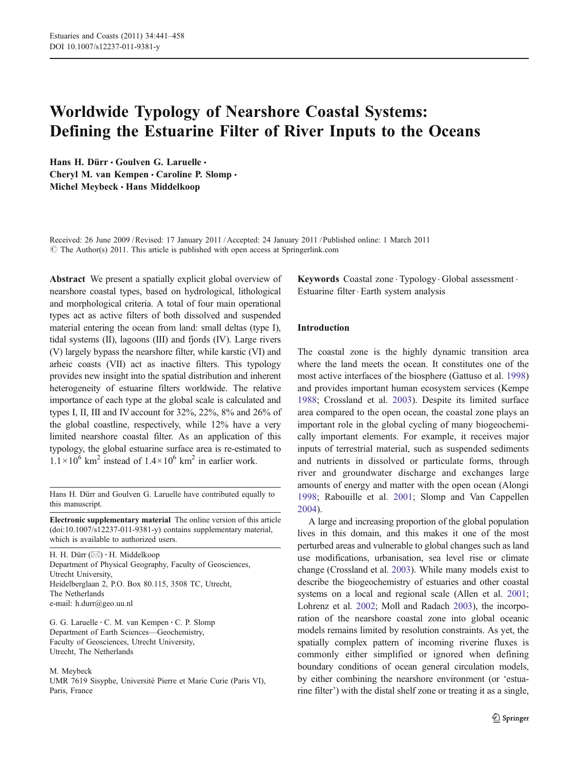# Worldwide Typology of Nearshore Coastal Systems: Defining the Estuarine Filter of River Inputs to the Oceans

Hans H. Dürr · Goulven G. Laruelle · Cheryl M. van Kempen • Caroline P. Slomp • Michel Meybeck · Hans Middelkoop

Received: 26 June 2009 /Revised: 17 January 2011 /Accepted: 24 January 2011 / Published online: 1 March 2011  $\odot$  The Author(s) 2011. This article is published with open access at Springerlink.com

Abstract We present a spatially explicit global overview of nearshore coastal types, based on hydrological, lithological and morphological criteria. A total of four main operational types act as active filters of both dissolved and suspended material entering the ocean from land: small deltas (type I), tidal systems (II), lagoons (III) and fjords (IV). Large rivers (V) largely bypass the nearshore filter, while karstic (VI) and arheic coasts (VII) act as inactive filters. This typology provides new insight into the spatial distribution and inherent heterogeneity of estuarine filters worldwide. The relative importance of each type at the global scale is calculated and types I, II, III and IV account for 32%, 22%, 8% and 26% of the global coastline, respectively, while 12% have a very limited nearshore coastal filter. As an application of this typology, the global estuarine surface area is re-estimated to  $1.1 \times 10^6$  km<sup>2</sup> instead of  $1.4 \times 10^6$  km<sup>2</sup> in earlier work.

Hans H. Dürr and Goulven G. Laruelle have contributed equally to this manuscript.

Electronic supplementary material The online version of this article (doi:[10.1007/s12237-011-9381-y\)](http://dx.doi.org/10.1007/s12237-011-9381-y) contains supplementary material, which is available to authorized users.

H. H. Dürr (⊠) · H. Middelkoop Department of Physical Geography, Faculty of Geosciences, Utrecht University, Heidelberglaan 2, P.O. Box 80.115, 3508 TC, Utrecht, The Netherlands e-mail: h.durr@geo.uu.nl

G. G. Laruelle : C. M. van Kempen : C. P. Slomp Department of Earth Sciences—Geochemistry, Faculty of Geosciences, Utrecht University, Utrecht, The Netherlands

M. Meybeck

UMR 7619 Sisyphe, Université Pierre et Marie Curie (Paris VI), Paris, France

Keywords Coastal zone . Typology . Global assessment . Estuarine filter. Earth system analysis

# Introduction

The coastal zone is the highly dynamic transition area where the land meets the ocean. It constitutes one of the most active interfaces of the biosphere (Gattuso et al. [1998](#page-15-0)) and provides important human ecosystem services (Kempe [1988](#page-16-0); Crossland et al. [2003\)](#page-15-0). Despite its limited surface area compared to the open ocean, the coastal zone plays an important role in the global cycling of many biogeochemically important elements. For example, it receives major inputs of terrestrial material, such as suspended sediments and nutrients in dissolved or particulate forms, through river and groundwater discharge and exchanges large amounts of energy and matter with the open ocean (Alongi [1998](#page-15-0); Rabouille et al. [2001;](#page-16-0) Slomp and Van Cappellen [2004](#page-16-0)).

A large and increasing proportion of the global population lives in this domain, and this makes it one of the most perturbed areas and vulnerable to global changes such as land use modifications, urbanisation, sea level rise or climate change (Crossland et al. [2003\)](#page-15-0). While many models exist to describe the biogeochemistry of estuaries and other coastal systems on a local and regional scale (Allen et al. [2001;](#page-15-0) Lohrenz et al. [2002](#page-16-0); Moll and Radach [2003](#page-16-0)), the incorporation of the nearshore coastal zone into global oceanic models remains limited by resolution constraints. As yet, the spatially complex pattern of incoming riverine fluxes is commonly either simplified or ignored when defining boundary conditions of ocean general circulation models, by either combining the nearshore environment (or 'estuarine filter') with the distal shelf zone or treating it as a single,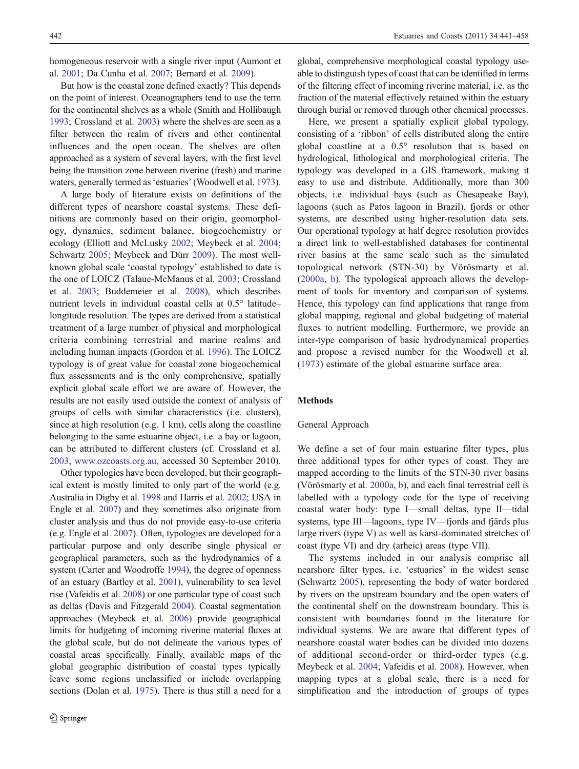homogeneous reservoir with a single river input (Aumont et al. [2001](#page-15-0); Da Cunha et al. [2007;](#page-15-0) Bernard et al. [2009\)](#page-15-0).

But how is the coastal zone defined exactly? This depends on the point of interest. Oceanographers tend to use the term for the continental shelves as a whole (Smith and Hollibaugh [1993;](#page-16-0) Crossland et al. [2003](#page-15-0)) where the shelves are seen as a filter between the realm of rivers and other continental influences and the open ocean. The shelves are often approached as a system of several layers, with the first level being the transition zone between riverine (fresh) and marine waters, generally termed as'estuaries' (Woodwell et al. [1973\)](#page-17-0).

A large body of literature exists on definitions of the different types of nearshore coastal systems. These definitions are commonly based on their origin, geomorphology, dynamics, sediment balance, biogeochemistry or ecology (Elliott and McLusky [2002](#page-15-0); Meybeck et al. [2004](#page-16-0); Schwartz [2005](#page-16-0); Meybeck and Dürr [2009\)](#page-16-0). The most wellknown global scale 'coastal typology' established to date is the one of LOICZ (Talaue-McManus et al. [2003](#page-16-0); Crossland et al. [2003](#page-15-0); Buddemeier et al. [2008\)](#page-15-0), which describes nutrient levels in individual coastal cells at 0.5° latitude– longitude resolution. The types are derived from a statistical treatment of a large number of physical and morphological criteria combining terrestrial and marine realms and including human impacts (Gordon et al. [1996](#page-15-0)). The LOICZ typology is of great value for coastal zone biogeochemical flux assessments and is the only comprehensive, spatially explicit global scale effort we are aware of. However, the results are not easily used outside the context of analysis of groups of cells with similar characteristics (i.e. clusters), since at high resolution (e.g. 1 km), cells along the coastline belonging to the same estuarine object, i.e. a bay or lagoon, can be attributed to different clusters (cf. Crossland et al. [2003,](#page-15-0) [www.ozcoasts.org.au](http://dx.doi.org/10.1007/s12237-011-9381-y), accessed 30 September 2010).

Other typologies have been developed, but their geographical extent is mostly limited to only part of the world (e.g. Australia in Digby et al. [1998](#page-15-0) and Harris et al. [2002;](#page-16-0) USA in Engle et al. [2007](#page-15-0)) and they sometimes also originate from cluster analysis and thus do not provide easy-to-use criteria (e.g. Engle et al. [2007\)](#page-15-0). Often, typologies are developed for a particular purpose and only describe single physical or geographical parameters, such as the hydrodynamics of a system (Carter and Woodroffe [1994](#page-15-0)), the degree of openness of an estuary (Bartley et al. [2001\)](#page-15-0), vulnerability to sea level rise (Vafeidis et al. [2008\)](#page-17-0) or one particular type of coast such as deltas (Davis and Fitzgerald [2004](#page-15-0)). Coastal segmentation approaches (Meybeck et al. [2006](#page-16-0)) provide geographical limits for budgeting of incoming riverine material fluxes at the global scale, but do not delineate the various types of coastal areas specifically. Finally, available maps of the global geographic distribution of coastal types typically leave some regions unclassified or include overlapping sections (Dolan et al. [1975\)](#page-15-0). There is thus still a need for a

global, comprehensive morphological coastal typology useable to distinguish types of coast that can be identified in terms of the filtering effect of incoming riverine material, i.e. as the fraction of the material effectively retained within the estuary through burial or removed through other chemical processes.

Here, we present a spatially explicit global typology, consisting of a 'ribbon' of cells distributed along the entire global coastline at a 0.5° resolution that is based on hydrological, lithological and morphological criteria. The typology was developed in a GIS framework, making it easy to use and distribute. Additionally, more than 300 objects, i.e. individual bays (such as Chesapeake Bay), lagoons (such as Patos lagoon in Brazil), fjords or other systems, are described using higher-resolution data sets. Our operational typology at half degree resolution provides a direct link to well-established databases for continental river basins at the same scale such as the simulated topological network (STN-30) by Vörösmarty et al. [\(2000a,](#page-17-0) [b](#page-17-0)). The typological approach allows the development of tools for inventory and comparison of systems. Hence, this typology can find applications that range from global mapping, regional and global budgeting of material fluxes to nutrient modelling. Furthermore, we provide an inter-type comparison of basic hydrodynamical properties and propose a revised number for the Woodwell et al. [\(1973](#page-17-0)) estimate of the global estuarine surface area.

#### Methods

#### General Approach

We define a set of four main estuarine filter types, plus three additional types for other types of coast. They are mapped according to the limits of the STN-30 river basins (Vörösmarty et al. [2000a](#page-17-0), [b\)](#page-17-0), and each final terrestrial cell is labelled with a typology code for the type of receiving coastal water body: type I—small deltas, type II—tidal systems, type III—lagoons, type IV—fjords and fjärds plus large rivers (type V) as well as karst-dominated stretches of coast (type VI) and dry (arheic) areas (type VII).

The systems included in our analysis comprise all nearshore filter types, i.e. 'estuaries' in the widest sense (Schwartz [2005\)](#page-16-0), representing the body of water bordered by rivers on the upstream boundary and the open waters of the continental shelf on the downstream boundary. This is consistent with boundaries found in the literature for individual systems. We are aware that different types of nearshore coastal water bodies can be divided into dozens of additional second-order or third-order types (e.g. Meybeck et al. [2004;](#page-16-0) Vafeidis et al. [2008](#page-17-0)). However, when mapping types at a global scale, there is a need for simplification and the introduction of groups of types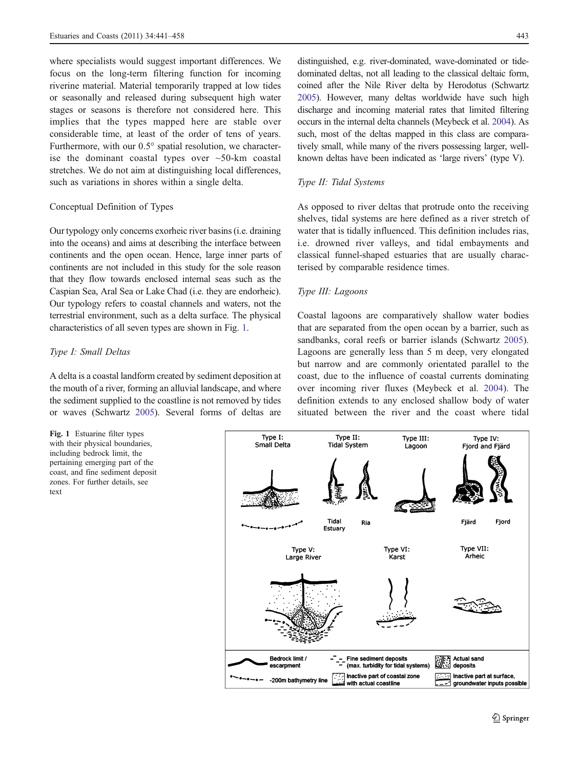where specialists would suggest important differences. We focus on the long-term filtering function for incoming riverine material. Material temporarily trapped at low tides or seasonally and released during subsequent high water stages or seasons is therefore not considered here. This implies that the types mapped here are stable over considerable time, at least of the order of tens of years. Furthermore, with our 0.5° spatial resolution, we characterise the dominant coastal types over  $\sim$ 50-km coastal stretches. We do not aim at distinguishing local differences, such as variations in shores within a single delta.

#### Conceptual Definition of Types

Our typology only concerns exorheic river basins (i.e. draining into the oceans) and aims at describing the interface between continents and the open ocean. Hence, large inner parts of continents are not included in this study for the sole reason that they flow towards enclosed internal seas such as the Caspian Sea, Aral Sea or Lake Chad (i.e. they are endorheic). Our typology refers to coastal channels and waters, not the terrestrial environment, such as a delta surface. The physical characteristics of all seven types are shown in Fig. 1.

#### Type I: Small Deltas

A delta is a coastal landform created by sediment deposition at the mouth of a river, forming an alluvial landscape, and where the sediment supplied to the coastline is not removed by tides or waves (Schwartz [2005\)](#page-16-0). Several forms of deltas are

Fig. 1 Estuarine filter types with their physical boundaries, including bedrock limit, the pertaining emerging part of the coast, and fine sediment deposit zones. For further details, see text

distinguished, e.g. river-dominated, wave-dominated or tidedominated deltas, not all leading to the classical deltaic form, coined after the Nile River delta by Herodotus (Schwartz [2005](#page-16-0)). However, many deltas worldwide have such high discharge and incoming material rates that limited filtering occurs in the internal delta channels (Meybeck et al. [2004\)](#page-16-0). As such, most of the deltas mapped in this class are comparatively small, while many of the rivers possessing larger, wellknown deltas have been indicated as 'large rivers' (type V).

#### Type II: Tidal Systems

As opposed to river deltas that protrude onto the receiving shelves, tidal systems are here defined as a river stretch of water that is tidally influenced. This definition includes rias, i.e. drowned river valleys, and tidal embayments and classical funnel-shaped estuaries that are usually characterised by comparable residence times.

#### Type III: Lagoons

Coastal lagoons are comparatively shallow water bodies that are separated from the open ocean by a barrier, such as sandbanks, coral reefs or barrier islands (Schwartz [2005\)](#page-16-0). Lagoons are generally less than 5 m deep, very elongated but narrow and are commonly orientated parallel to the coast, due to the influence of coastal currents dominating over incoming river fluxes (Meybeck et al. [2004\)](#page-16-0). The definition extends to any enclosed shallow body of water situated between the river and the coast where tidal

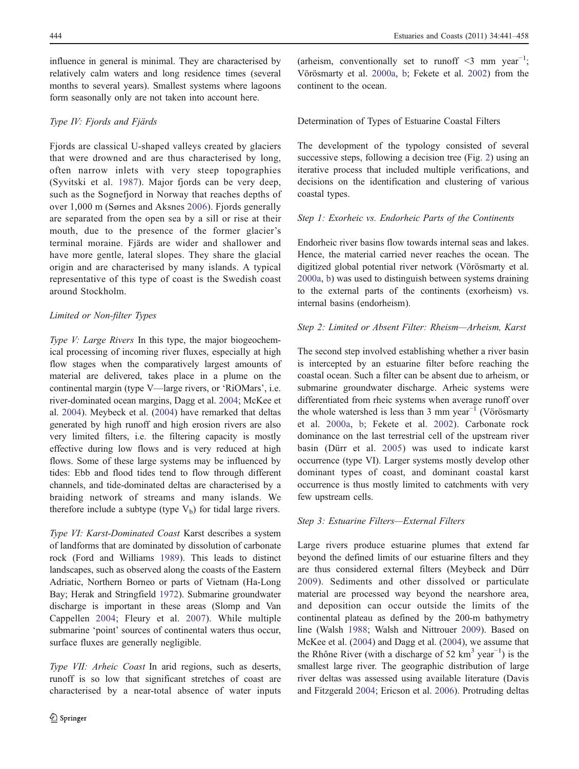influence in general is minimal. They are characterised by relatively calm waters and long residence times (several months to several years). Smallest systems where lagoons form seasonally only are not taken into account here.

#### Type IV: Fjords and Fjärds

Fjords are classical U-shaped valleys created by glaciers that were drowned and are thus characterised by long, often narrow inlets with very steep topographies (Syvitski et al. [1987](#page-16-0)). Major fjords can be very deep, such as the Sognefjord in Norway that reaches depths of over 1,000 m (Sørnes and Aksnes [2006](#page-16-0)). Fjords generally are separated from the open sea by a sill or rise at their mouth, due to the presence of the former glacier's terminal moraine. Fjärds are wider and shallower and have more gentle, lateral slopes. They share the glacial origin and are characterised by many islands. A typical representative of this type of coast is the Swedish coast around Stockholm.

#### Limited or Non-filter Types

Type V: Large Rivers In this type, the major biogeochemical processing of incoming river fluxes, especially at high flow stages when the comparatively largest amounts of material are delivered, takes place in a plume on the continental margin (type V—large rivers, or 'RiOMars', i.e. river-dominated ocean margins, Dagg et al. [2004](#page-15-0); McKee et al. [2004\)](#page-16-0). Meybeck et al. [\(2004](#page-16-0)) have remarked that deltas generated by high runoff and high erosion rivers are also very limited filters, i.e. the filtering capacity is mostly effective during low flows and is very reduced at high flows. Some of these large systems may be influenced by tides: Ebb and flood tides tend to flow through different channels, and tide-dominated deltas are characterised by a braiding network of streams and many islands. We therefore include a subtype (type  $V_b$ ) for tidal large rivers.

Type VI: Karst-Dominated Coast Karst describes a system of landforms that are dominated by dissolution of carbonate rock (Ford and Williams [1989\)](#page-15-0). This leads to distinct landscapes, such as observed along the coasts of the Eastern Adriatic, Northern Borneo or parts of Vietnam (Ha-Long Bay; Herak and Stringfield [1972\)](#page-16-0). Submarine groundwater discharge is important in these areas (Slomp and Van Cappellen [2004](#page-16-0); Fleury et al. [2007\)](#page-15-0). While multiple submarine 'point' sources of continental waters thus occur, surface fluxes are generally negligible.

Type VII: Arheic Coast In arid regions, such as deserts, runoff is so low that significant stretches of coast are characterised by a near-total absence of water inputs

(arheism, conventionally set to runoff <3 mm year<sup>-1</sup>; Vörösmarty et al. [2000a](#page-17-0), [b;](#page-17-0) Fekete et al. [2002](#page-15-0)) from the continent to the ocean.

#### Determination of Types of Estuarine Coastal Filters

The development of the typology consisted of several successive steps, following a decision tree (Fig. [2](#page-4-0)) using an iterative process that included multiple verifications, and decisions on the identification and clustering of various coastal types.

#### Step 1: Exorheic vs. Endorheic Parts of the Continents

Endorheic river basins flow towards internal seas and lakes. Hence, the material carried never reaches the ocean. The digitized global potential river network (Vörösmarty et al. [2000a](#page-17-0), [b\)](#page-17-0) was used to distinguish between systems draining to the external parts of the continents (exorheism) vs. internal basins (endorheism).

#### Step 2: Limited or Absent Filter: Rheism—Arheism, Karst

The second step involved establishing whether a river basin is intercepted by an estuarine filter before reaching the coastal ocean. Such a filter can be absent due to arheism, or submarine groundwater discharge. Arheic systems were differentiated from rheic systems when average runoff over the whole watershed is less than 3 mm year<sup> $-1$ </sup> (Vörösmarty et al. [2000a,](#page-17-0) [b](#page-17-0); Fekete et al. [2002\)](#page-15-0). Carbonate rock dominance on the last terrestrial cell of the upstream river basin (Dürr et al. [2005](#page-15-0)) was used to indicate karst occurrence (type VI). Larger systems mostly develop other dominant types of coast, and dominant coastal karst occurrence is thus mostly limited to catchments with very few upstream cells.

#### Step 3: Estuarine Filters—External Filters

Large rivers produce estuarine plumes that extend far beyond the defined limits of our estuarine filters and they are thus considered external filters (Meybeck and Dürr [2009](#page-16-0)). Sediments and other dissolved or particulate material are processed way beyond the nearshore area, and deposition can occur outside the limits of the continental plateau as defined by the 200-m bathymetry line (Walsh [1988](#page-17-0); Walsh and Nittrouer [2009\)](#page-17-0). Based on McKee et al. [\(2004](#page-16-0)) and Dagg et al. [\(2004](#page-15-0)), we assume that the Rhône River (with a discharge of 52  $km^3$  year<sup>-1</sup>) is the smallest large river. The geographic distribution of large river deltas was assessed using available literature (Davis and Fitzgerald [2004](#page-15-0); Ericson et al. [2006](#page-15-0)). Protruding deltas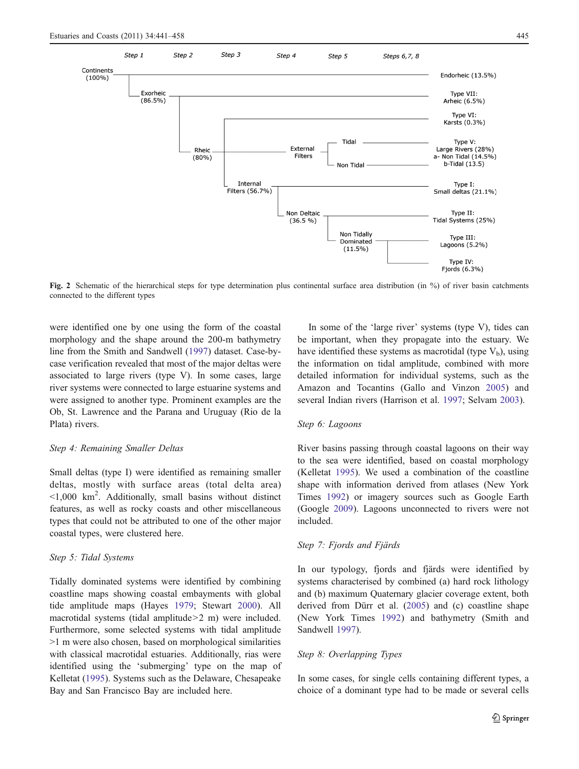<span id="page-4-0"></span>

Fig. 2 Schematic of the hierarchical steps for type determination plus continental surface area distribution (in %) of river basin catchments connected to the different types

were identified one by one using the form of the coastal morphology and the shape around the 200-m bathymetry line from the Smith and Sandwell [\(1997](#page-16-0)) dataset. Case-bycase verification revealed that most of the major deltas were associated to large rivers (type V). In some cases, large river systems were connected to large estuarine systems and were assigned to another type. Prominent examples are the Ob, St. Lawrence and the Parana and Uruguay (Rio de la Plata) rivers.

#### Step 4: Remaining Smaller Deltas

Small deltas (type I) were identified as remaining smaller deltas, mostly with surface areas (total delta area)  $\leq$ 1,000 km<sup>2</sup>. Additionally, small basins without distinct features, as well as rocky coasts and other miscellaneous types that could not be attributed to one of the other major coastal types, were clustered here.

# Step 5: Tidal Systems

Tidally dominated systems were identified by combining coastline maps showing coastal embayments with global tide amplitude maps (Hayes [1979](#page-16-0); Stewart [2000\)](#page-16-0). All macrotidal systems (tidal amplitude>2 m) were included. Furthermore, some selected systems with tidal amplitude >1 m were also chosen, based on morphological similarities with classical macrotidal estuaries. Additionally, rias were identified using the 'submerging' type on the map of Kelletat [\(1995](#page-16-0)). Systems such as the Delaware, Chesapeake Bay and San Francisco Bay are included here.

In some of the 'large river' systems (type V), tides can be important, when they propagate into the estuary. We have identified these systems as macrotidal (type  $V<sub>b</sub>$ ), using the information on tidal amplitude, combined with more detailed information for individual systems, such as the Amazon and Tocantins (Gallo and Vinzon [2005](#page-15-0)) and several Indian rivers (Harrison et al. [1997;](#page-16-0) Selvam [2003\)](#page-16-0).

# Step 6: Lagoons

River basins passing through coastal lagoons on their way to the sea were identified, based on coastal morphology (Kelletat [1995](#page-16-0)). We used a combination of the coastline shape with information derived from atlases (New York Times [1992\)](#page-16-0) or imagery sources such as Google Earth (Google [2009](#page-15-0)). Lagoons unconnected to rivers were not included.

# Step 7: Fjords and Fjärds

In our typology, fjords and fjärds were identified by systems characterised by combined (a) hard rock lithology and (b) maximum Quaternary glacier coverage extent, both derived from Dürr et al. [\(2005](#page-15-0)) and (c) coastline shape (New York Times [1992\)](#page-16-0) and bathymetry (Smith and Sandwell [1997](#page-16-0)).

# Step 8: Overlapping Types

In some cases, for single cells containing different types, a choice of a dominant type had to be made or several cells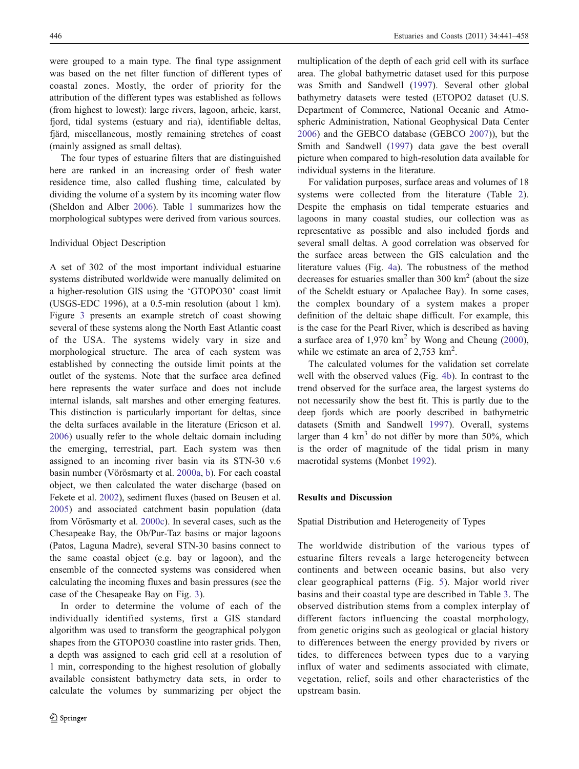were grouped to a main type. The final type assignment was based on the net filter function of different types of coastal zones. Mostly, the order of priority for the attribution of the different types was established as follows (from highest to lowest): large rivers, lagoon, arheic, karst, fjord, tidal systems (estuary and ria), identifiable deltas, fjärd, miscellaneous, mostly remaining stretches of coast (mainly assigned as small deltas).

The four types of estuarine filters that are distinguished here are ranked in an increasing order of fresh water residence time, also called flushing time, calculated by dividing the volume of a system by its incoming water flow (Sheldon and Alber [2006](#page-16-0)). Table [1](#page-6-0) summarizes how the morphological subtypes were derived from various sources.

# Individual Object Description

A set of 302 of the most important individual estuarine systems distributed worldwide were manually delimited on a higher-resolution GIS using the 'GTOPO30' coast limit (USGS-EDC 1996), at a 0.5-min resolution (about 1 km). Figure [3](#page-7-0) presents an example stretch of coast showing several of these systems along the North East Atlantic coast of the USA. The systems widely vary in size and morphological structure. The area of each system was established by connecting the outside limit points at the outlet of the systems. Note that the surface area defined here represents the water surface and does not include internal islands, salt marshes and other emerging features. This distinction is particularly important for deltas, since the delta surfaces available in the literature (Ericson et al. [2006\)](#page-15-0) usually refer to the whole deltaic domain including the emerging, terrestrial, part. Each system was then assigned to an incoming river basin via its STN-30 v.6 basin number (Vörösmarty et al. [2000a](#page-17-0), [b\)](#page-17-0). For each coastal object, we then calculated the water discharge (based on Fekete et al. [2002](#page-15-0)), sediment fluxes (based on Beusen et al. [2005\)](#page-15-0) and associated catchment basin population (data from Vörösmarty et al. [2000c](#page-17-0)). In several cases, such as the Chesapeake Bay, the Ob/Pur-Taz basins or major lagoons (Patos, Laguna Madre), several STN-30 basins connect to the same coastal object (e.g. bay or lagoon), and the ensemble of the connected systems was considered when calculating the incoming fluxes and basin pressures (see the case of the Chesapeake Bay on Fig. [3](#page-7-0)).

In order to determine the volume of each of the individually identified systems, first a GIS standard algorithm was used to transform the geographical polygon shapes from the GTOPO30 coastline into raster grids. Then, a depth was assigned to each grid cell at a resolution of 1 min, corresponding to the highest resolution of globally available consistent bathymetry data sets, in order to calculate the volumes by summarizing per object the

multiplication of the depth of each grid cell with its surface area. The global bathymetric dataset used for this purpose was Smith and Sandwell ([1997\)](#page-16-0). Several other global bathymetry datasets were tested (ETOPO2 dataset (U.S. Department of Commerce, National Oceanic and Atmospheric Administration, National Geophysical Data Center [2006](#page-17-0)) and the GEBCO database (GEBCO [2007\)](#page-15-0)), but the Smith and Sandwell ([1997\)](#page-16-0) data gave the best overall picture when compared to high-resolution data available for individual systems in the literature.

For validation purposes, surface areas and volumes of 18 systems were collected from the literature (Table [2](#page-7-0)). Despite the emphasis on tidal temperate estuaries and lagoons in many coastal studies, our collection was as representative as possible and also included fjords and several small deltas. A good correlation was observed for the surface areas between the GIS calculation and the literature values (Fig. [4a\)](#page-8-0). The robustness of the method decreases for estuaries smaller than  $300 \text{ km}^2$  (about the size of the Scheldt estuary or Apalachee Bay). In some cases, the complex boundary of a system makes a proper definition of the deltaic shape difficult. For example, this is the case for the Pearl River, which is described as having a surface area of  $1,970 \text{ km}^2$  by Wong and Cheung ([2000\)](#page-17-0), while we estimate an area of  $2,753$  km<sup>2</sup>.

The calculated volumes for the validation set correlate well with the observed values (Fig. [4b\)](#page-8-0). In contrast to the trend observed for the surface area, the largest systems do not necessarily show the best fit. This is partly due to the deep fjords which are poorly described in bathymetric datasets (Smith and Sandwell [1997\)](#page-16-0). Overall, systems larger than 4  $km<sup>3</sup>$  do not differ by more than 50%, which is the order of magnitude of the tidal prism in many macrotidal systems (Monbet [1992\)](#page-16-0).

# Results and Discussion

Spatial Distribution and Heterogeneity of Types

The worldwide distribution of the various types of estuarine filters reveals a large heterogeneity between continents and between oceanic basins, but also very clear geographical patterns (Fig. [5](#page-9-0)). Major world river basins and their coastal type are described in Table [3](#page-10-0). The observed distribution stems from a complex interplay of different factors influencing the coastal morphology, from genetic origins such as geological or glacial history to differences between the energy provided by rivers or tides, to differences between types due to a varying influx of water and sediments associated with climate, vegetation, relief, soils and other characteristics of the upstream basin.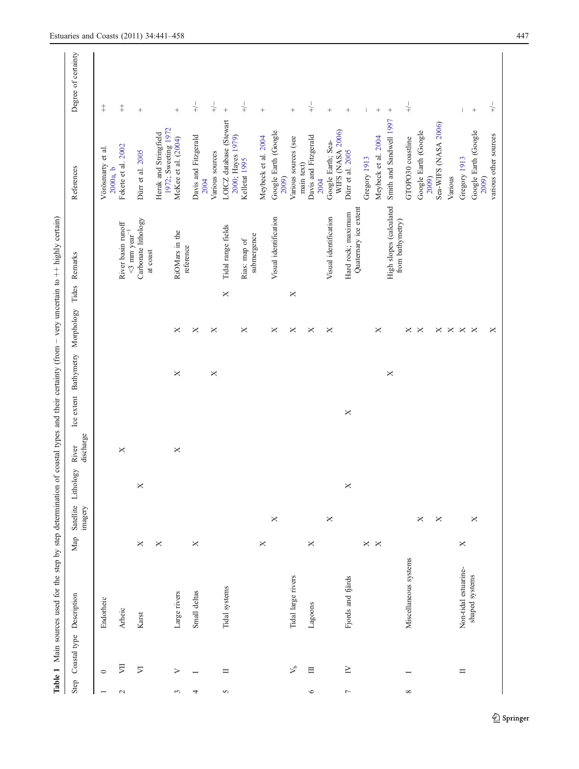<span id="page-6-0"></span>

|                          | Step Coastal type Description |                       | $_{\rm{Map}}$         |              | Satellite Lithology<br>imagery | discharge<br>River |          |          | Ice extent Bathymetry Morphology Tides Remarks |          |                                                                   | References                                   | Degree of certainty      |
|--------------------------|-------------------------------|-----------------------|-----------------------|--------------|--------------------------------|--------------------|----------|----------|------------------------------------------------|----------|-------------------------------------------------------------------|----------------------------------------------|--------------------------|
|                          | $\circ$                       | Endorheic             |                       |              |                                |                    |          |          |                                                |          |                                                                   | Vörösmarty et al.                            | $\ddagger$               |
| $\mathbf{c}$             | УII                           | Arheic                |                       |              |                                | ×                  |          |          |                                                |          | River basin runoff                                                | Fekete et al. 2002<br>$2000a$ , b            | $\ddagger$               |
|                          | $\overline{\triangledown}$    | Karst                 | $\boldsymbol{\times}$ |              | ×                              |                    |          |          |                                                |          | Carbonate lithology<br>$\leq$ 3 mm year <sup>-1</sup><br>at coast | Dürr et al. 2005                             | $^{+}$                   |
|                          |                               |                       | ×                     |              |                                |                    |          |          |                                                |          |                                                                   | 1972; Sweeting 1972<br>Herak and Stringfield |                          |
| 3                        | $\geq$                        | Large rivers          |                       |              |                                | $\mathsf{X}$       |          | $\times$ | $\boldsymbol{\times}$                          |          | RiOMars in the<br>reference                                       | McKee et al. (2004)                          |                          |
| 4                        |                               | Small deltas          | $\times$              |              |                                |                    |          |          | $\times$                                       |          |                                                                   | Davis and Fitzgerald<br>2004                 | $\downarrow$             |
|                          |                               |                       |                       |              |                                |                    |          | $\times$ | $\times$                                       |          |                                                                   | Various sources                              | $\downarrow$             |
| 5                        | $\equiv$                      | Tidal systems         |                       |              |                                |                    |          |          |                                                | $\times$ | Tidal range fields                                                | LOICZ database (Stewart<br>2000; Hayes 1979) |                          |
|                          |                               |                       |                       |              |                                |                    |          |          | $\times$                                       |          | Rias: map of                                                      | Kelletat 1995                                | $rac{1}{+}$              |
|                          |                               |                       | $\times$              |              |                                |                    |          |          |                                                |          | submergence                                                       | Meybeck et al. 2004                          |                          |
|                          |                               |                       |                       | $\times$     |                                |                    |          |          | $\times$                                       |          | Visual identification                                             | Google Earth (Google<br>2009)                |                          |
|                          | $\mathcal{L}_{\mathsf{b}}$    | Tidal large rivers    |                       |              |                                |                    |          |          | $\times$                                       | ×        |                                                                   | Various sources (see                         |                          |
| $\circ$                  | $\equiv$                      | Lagoons               | ×                     |              |                                |                    |          |          | $\times$                                       |          |                                                                   | Davis and Fitzgerald<br>main text)<br>2004   | $\downarrow$             |
|                          |                               |                       |                       | ×            |                                |                    |          |          | $\times$                                       |          | Visual identification                                             | WIFS (NASA 2006)<br>Google Earth; Sea-       |                          |
| $\overline{\phantom{a}}$ | $\geq$                        | Fjords and fjärds     |                       |              | ×                              |                    | $\times$ |          |                                                |          | Hard rock; maximum                                                | Dürr et al. 2005                             | $^{+}$                   |
|                          |                               |                       | ×                     |              |                                |                    |          |          |                                                |          | Quatemary ice extent                                              | Gregory 1913                                 | $\overline{\phantom{a}}$ |
|                          |                               |                       | $\times$              |              |                                |                    |          |          | $\Join$                                        |          |                                                                   | Meybeck et al. 2004                          |                          |
|                          |                               |                       |                       |              |                                |                    |          | X        |                                                |          | High slopes (calculated<br>from bathymetry)                       | Smith and Sandwell 1997                      | $\! + \!\!\!\!$          |
| ${}^{\infty}$            |                               | Miscellaneous systems |                       |              |                                |                    |          |          | $\Join$                                        |          |                                                                   | GTOPO30 coastline                            | $\downarrow$             |
|                          |                               |                       |                       | X            |                                |                    |          |          | $\boldsymbol{\times}$                          |          |                                                                   | Google Earth (Google<br>2009)                |                          |
|                          |                               |                       |                       | $\mathsf{X}$ |                                |                    |          |          | $\Join$                                        |          |                                                                   | Sea-WIFS (NASA 2006)                         |                          |
|                          |                               |                       |                       |              |                                |                    |          |          | $\mathsf{X}$                                   |          |                                                                   | Various                                      |                          |
|                          | $\equiv$                      | Non-tidal estuarine-  | ×                     |              |                                |                    |          |          | $\times$ $\times$                              |          |                                                                   | Gregory 1913                                 | I                        |
|                          |                               | shaped systems        |                       | $\times$     |                                |                    |          |          |                                                |          |                                                                   | Google Earth (Google<br>2009)                | $^{+}$                   |
|                          |                               |                       |                       |              |                                |                    |          |          | ×                                              |          |                                                                   | various other sources                        | $+\frac{1}{x}$           |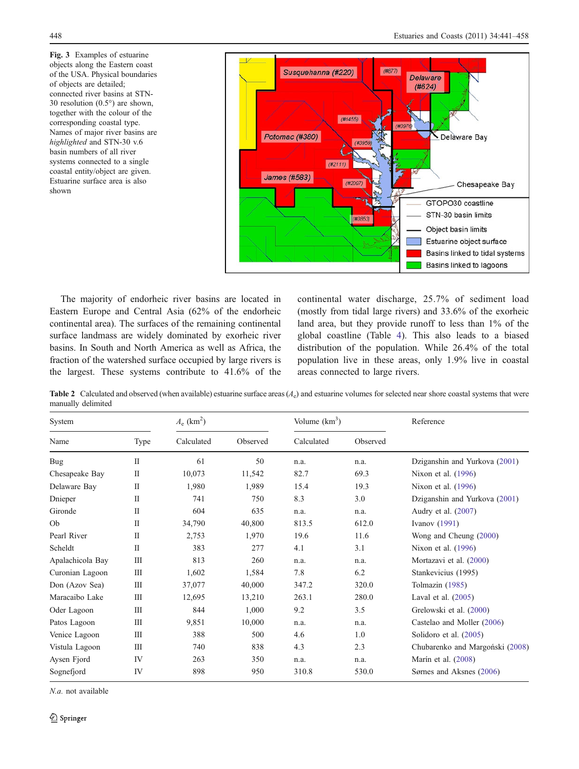<span id="page-7-0"></span>Fig. 3 Examples of estuarine objects along the Eastern coast of the USA. Physical boundaries of objects are detailed; connected river basins at STN-30 resolution (0.5°) are shown, together with the colour of the corresponding coastal type. Names of major river basins are highlighted and STN-30 v.6 basin numbers of all river systems connected to a single coastal entity/object are given. Estuarine surface area is also shown



The majority of endorheic river basins are located in Eastern Europe and Central Asia (62% of the endorheic continental area). The surfaces of the remaining continental surface landmass are widely dominated by exorheic river basins. In South and North America as well as Africa, the fraction of the watershed surface occupied by large rivers is the largest. These systems contribute to 41.6% of the continental water discharge, 25.7% of sediment load (mostly from tidal large rivers) and 33.6% of the exorheic land area, but they provide runoff to less than 1% of the global coastline (Table [4](#page-11-0)). This also leads to a biased distribution of the population. While 26.4% of the total population live in these areas, only 1.9% live in coastal areas connected to large rivers.

Table 2 Calculated and observed (when available) estuarine surface areas  $(A<sub>e</sub>)$  and estuarine volumes for selected near shore coastal systems that were manually delimited

| System           |              | $A_e$ (km <sup>2</sup> ) |          | Volume $(km3)$ |          | Reference                       |
|------------------|--------------|--------------------------|----------|----------------|----------|---------------------------------|
| Name             | Type         | Calculated               | Observed | Calculated     | Observed |                                 |
| Bug              | $\mathbf{I}$ | 61                       | 50       | n.a.           | n.a.     | Dziganshin and Yurkova (2001)   |
| Chesapeake Bay   | $\mathbf{I}$ | 10,073                   | 11,542   | 82.7           | 69.3     | Nixon et al. (1996)             |
| Delaware Bay     | $\mathbf{I}$ | 1,980                    | 1,989    | 15.4           | 19.3     | Nixon et al. (1996)             |
| Dnieper          | П            | 741                      | 750      | 8.3            | 3.0      | Dziganshin and Yurkova (2001)   |
| Gironde          | $\mathbf{I}$ | 604                      | 635      | n.a.           | n.a.     | Audry et al. $(2007)$           |
| Ob               | $\mathbf{I}$ | 34,790                   | 40,800   | 813.5          | 612.0    | Ivanov (1991)                   |
| Pearl River      | $\mathbf{I}$ | 2,753                    | 1,970    | 19.6           | 11.6     | Wong and Cheung (2000)          |
| Scheldt          | $\mathbf{I}$ | 383                      | 277      | 4.1            | 3.1      | Nixon et al. (1996)             |
| Apalachicola Bay | Ш            | 813                      | 260      | n.a.           | n.a.     | Mortazavi et al. (2000)         |
| Curonian Lagoon  | Ш            | 1,602                    | 1,584    | 7.8            | 6.2      | Stankevicius (1995)             |
| Don (Azov Sea)   | Ш            | 37,077                   | 40,000   | 347.2          | 320.0    | Tolmazin (1985)                 |
| Maracaibo Lake   | Ш            | 12,695                   | 13,210   | 263.1          | 280.0    | Laval et al. $(2005)$           |
| Oder Lagoon      | Ш            | 844                      | 1,000    | 9.2            | 3.5      | Grelowski et al. (2000)         |
| Patos Lagoon     | Ш            | 9,851                    | 10,000   | n.a.           | n.a.     | Castelao and Moller (2006)      |
| Venice Lagoon    | Ш            | 388                      | 500      | 4.6            | 1.0      | Solidoro et al. $(2005)$        |
| Vistula Lagoon   | Ш            | 740                      | 838      | 4.3            | 2.3      | Chubarenko and Margoński (2008) |
| Aysen Fjord      | IV           | 263                      | 350      | n.a.           | n.a.     | Marín et al. (2008)             |
| Sognefjord       | IV           | 898                      | 950      | 310.8          | 530.0    | Sørnes and Aksnes (2006)        |

N.a. not available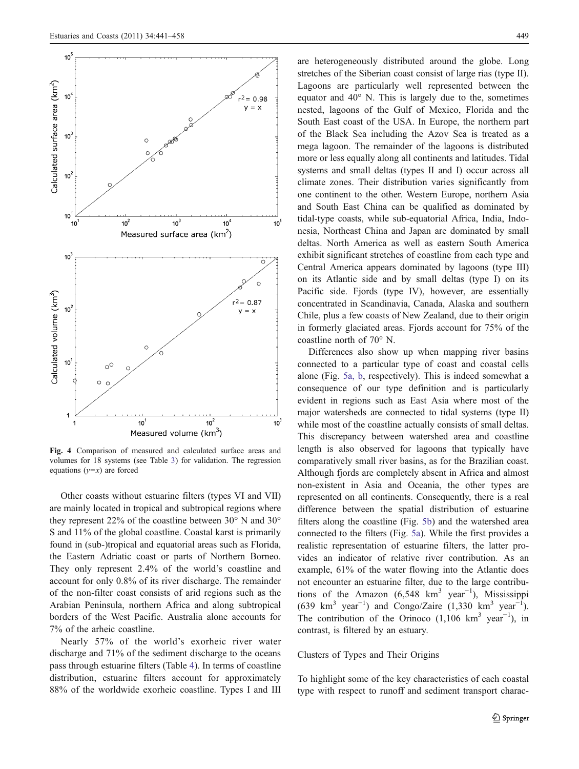<span id="page-8-0"></span>

Fig. 4 Comparison of measured and calculated surface areas and volumes for 18 systems (see Table [3](#page-10-0)) for validation. The regression equations  $(y=x)$  are forced

Other coasts without estuarine filters (types VI and VII) are mainly located in tropical and subtropical regions where they represent 22% of the coastline between 30° N and 30° S and 11% of the global coastline. Coastal karst is primarily found in (sub-)tropical and equatorial areas such as Florida, the Eastern Adriatic coast or parts of Northern Borneo. They only represent 2.4% of the world's coastline and account for only 0.8% of its river discharge. The remainder of the non-filter coast consists of arid regions such as the Arabian Peninsula, northern Africa and along subtropical borders of the West Pacific. Australia alone accounts for 7% of the arheic coastline.

Nearly 57% of the world's exorheic river water discharge and 71% of the sediment discharge to the oceans pass through estuarine filters (Table [4](#page-11-0)). In terms of coastline distribution, estuarine filters account for approximately 88% of the worldwide exorheic coastline. Types I and III are heterogeneously distributed around the globe. Long stretches of the Siberian coast consist of large rias (type II). Lagoons are particularly well represented between the equator and 40° N. This is largely due to the, sometimes nested, lagoons of the Gulf of Mexico, Florida and the South East coast of the USA. In Europe, the northern part of the Black Sea including the Azov Sea is treated as a mega lagoon. The remainder of the lagoons is distributed more or less equally along all continents and latitudes. Tidal systems and small deltas (types II and I) occur across all climate zones. Their distribution varies significantly from one continent to the other. Western Europe, northern Asia and South East China can be qualified as dominated by tidal-type coasts, while sub-equatorial Africa, India, Indonesia, Northeast China and Japan are dominated by small deltas. North America as well as eastern South America exhibit significant stretches of coastline from each type and Central America appears dominated by lagoons (type III) on its Atlantic side and by small deltas (type I) on its Pacific side. Fjords (type IV), however, are essentially concentrated in Scandinavia, Canada, Alaska and southern Chile, plus a few coasts of New Zealand, due to their origin in formerly glaciated areas. Fjords account for 75% of the coastline north of 70° N.

Differences also show up when mapping river basins connected to a particular type of coast and coastal cells alone (Fig. [5a, b](#page-9-0), respectively). This is indeed somewhat a consequence of our type definition and is particularly evident in regions such as East Asia where most of the major watersheds are connected to tidal systems (type II) while most of the coastline actually consists of small deltas. This discrepancy between watershed area and coastline length is also observed for lagoons that typically have comparatively small river basins, as for the Brazilian coast. Although fjords are completely absent in Africa and almost non-existent in Asia and Oceania, the other types are represented on all continents. Consequently, there is a real difference between the spatial distribution of estuarine filters along the coastline (Fig. [5b](#page-9-0)) and the watershed area connected to the filters (Fig. [5a\)](#page-9-0). While the first provides a realistic representation of estuarine filters, the latter provides an indicator of relative river contribution. As an example, 61% of the water flowing into the Atlantic does not encounter an estuarine filter, due to the large contributions of the Amazon  $(6,548 \text{ km}^3 \text{ year}^{-1})$ , Mississippi (639 km<sup>3</sup> year<sup>-1</sup>) and Congo/Zaire (1,330 km<sup>3</sup> year<sup>-1</sup>). The contribution of the Orinoco  $(1,106 \text{ km}^3 \text{ year}^{-1})$ , in contrast, is filtered by an estuary.

Clusters of Types and Their Origins

To highlight some of the key characteristics of each coastal type with respect to runoff and sediment transport charac-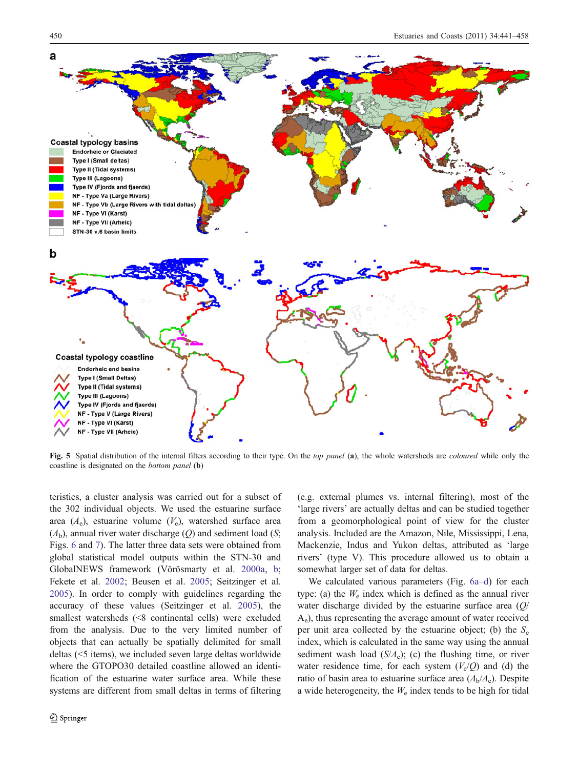<span id="page-9-0"></span>

Fig. 5 Spatial distribution of the internal filters according to their type. On the top panel (a), the whole watersheds are coloured while only the coastline is designated on the bottom panel (b)

teristics, a cluster analysis was carried out for a subset of the 302 individual objects. We used the estuarine surface area  $(A_e)$ , estuarine volume  $(V_e)$ , watershed surface area  $(A<sub>b</sub>)$ , annual river water discharge  $(Q)$  and sediment load  $(S;$ Figs. [6](#page-11-0) and [7](#page-12-0)). The latter three data sets were obtained from global statistical model outputs within the STN-30 and GlobalNEWS framework (Vörösmarty et al. [2000a,](#page-17-0) [b](#page-17-0); Fekete et al. [2002](#page-15-0); Beusen et al. [2005;](#page-15-0) Seitzinger et al. [2005\)](#page-16-0). In order to comply with guidelines regarding the accuracy of these values (Seitzinger et al. [2005\)](#page-16-0), the smallest watersheds (<8 continental cells) were excluded from the analysis. Due to the very limited number of objects that can actually be spatially delimited for small deltas (<5 items), we included seven large deltas worldwide where the GTOPO30 detailed coastline allowed an identification of the estuarine water surface area. While these systems are different from small deltas in terms of filtering (e.g. external plumes vs. internal filtering), most of the 'large rivers' are actually deltas and can be studied together from a geomorphological point of view for the cluster analysis. Included are the Amazon, Nile, Mississippi, Lena, Mackenzie, Indus and Yukon deltas, attributed as 'large rivers' (type V). This procedure allowed us to obtain a somewhat larger set of data for deltas.

We calculated various parameters (Fig. [6a](#page-11-0)–d) for each type: (a) the  $W_e$  index which is defined as the annual river water discharge divided by the estuarine surface area (Q/  $A<sub>e</sub>$ ), thus representing the average amount of water received per unit area collected by the estuarine object; (b) the  $S_e$ index, which is calculated in the same way using the annual sediment wash load  $(S/A<sub>e</sub>)$ ; (c) the flushing time, or river water residence time, for each system  $(V_e/Q)$  and (d) the ratio of basin area to estuarine surface area  $(A_b/A_e)$ . Despite a wide heterogeneity, the  $W_e$  index tends to be high for tidal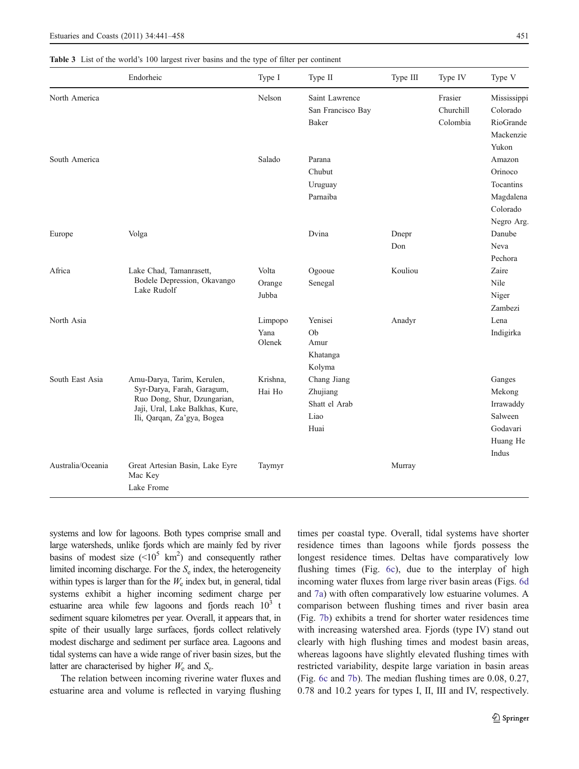<span id="page-10-0"></span>Table 3 List of the world's 100 largest river basins and the type of filter per continent

|                   | Endorheic                                                      | Type I   | Type II           | Type III | Type IV   | Type V             |
|-------------------|----------------------------------------------------------------|----------|-------------------|----------|-----------|--------------------|
| North America     |                                                                | Nelson   | Saint Lawrence    |          | Frasier   | Mississippi        |
|                   |                                                                |          | San Francisco Bay |          | Churchill | Colorado           |
|                   |                                                                |          | Baker             |          | Colombia  | RioGrande          |
|                   |                                                                |          |                   |          |           | Mackenzie<br>Yukon |
| South America     |                                                                | Salado   | Parana            |          |           | Amazon             |
|                   |                                                                |          | Chubut            |          |           | Orinoco            |
|                   |                                                                |          | Uruguay           |          |           | Tocantins          |
|                   |                                                                |          | Parnaiba          |          |           | Magdalena          |
|                   |                                                                |          |                   |          |           | Colorado           |
|                   |                                                                |          |                   |          |           | Negro Arg.         |
| Europe            | Volga                                                          |          | Dvina             | Dnepr    |           | Danube             |
|                   |                                                                |          |                   | Don      |           | Neva               |
|                   |                                                                |          |                   |          |           | Pechora            |
| Africa            | Lake Chad, Tamanrasett,                                        | Volta    | Ogooue            | Kouliou  |           | Zaire              |
|                   | Bodele Depression, Okavango                                    | Orange   | Senegal           |          |           | Nile               |
|                   | Lake Rudolf                                                    | Jubba    |                   |          |           | Niger              |
|                   |                                                                |          |                   |          |           | Zambezi            |
| North Asia        |                                                                | Limpopo  | Yenisei           | Anadyr   |           | Lena               |
|                   |                                                                | Yana     | Ob                |          |           | Indigirka          |
|                   |                                                                | Olenek   | Amur              |          |           |                    |
|                   |                                                                |          | Khatanga          |          |           |                    |
|                   |                                                                |          | Kolyma            |          |           |                    |
| South East Asia   | Amu-Darya, Tarim, Kerulen,                                     | Krishna, | Chang Jiang       |          |           | Ganges             |
|                   | Syr-Darya, Farah, Garagum,                                     | Hai Ho   | Zhujiang          |          |           | Mekong             |
|                   | Ruo Dong, Shur, Dzungarian,<br>Jaji, Ural, Lake Balkhas, Kure, |          | Shatt el Arab     |          |           | Irrawaddy          |
|                   | Ili, Qarqan, Za'gya, Bogea                                     |          | Liao              |          |           | Salween            |
|                   |                                                                |          | Huai              |          |           | Godavari           |
|                   |                                                                |          |                   |          |           | Huang He           |
|                   |                                                                |          |                   |          |           | Indus              |
| Australia/Oceania | Great Artesian Basin, Lake Eyre<br>Mac Key                     | Taymyr   |                   | Murray   |           |                    |
|                   | Lake Frome                                                     |          |                   |          |           |                    |

systems and low for lagoons. Both types comprise small and large watersheds, unlike fjords which are mainly fed by river basins of modest size  $(<10^5 \text{ km}^2)$  and consequently rather limited incoming discharge. For the  $S_e$  index, the heterogeneity within types is larger than for the  $W_e$  index but, in general, tidal systems exhibit a higher incoming sediment charge per estuarine area while few lagoons and fjords reach  $10^3$  t sediment square kilometres per year. Overall, it appears that, in spite of their usually large surfaces, fjords collect relatively modest discharge and sediment per surface area. Lagoons and tidal systems can have a wide range of river basin sizes, but the latter are characterised by higher  $W_e$  and  $S_e$ .

The relation between incoming riverine water fluxes and estuarine area and volume is reflected in varying flushing times per coastal type. Overall, tidal systems have shorter residence times than lagoons while fjords possess the longest residence times. Deltas have comparatively low flushing times (Fig. [6c\)](#page-11-0), due to the interplay of high incoming water fluxes from large river basin areas (Figs. [6d](#page-11-0) and [7a\)](#page-12-0) with often comparatively low estuarine volumes. A comparison between flushing times and river basin area (Fig. [7b](#page-12-0)) exhibits a trend for shorter water residences time with increasing watershed area. Fjords (type IV) stand out clearly with high flushing times and modest basin areas, whereas lagoons have slightly elevated flushing times with restricted variability, despite large variation in basin areas (Fig. [6c](#page-11-0) and [7b\)](#page-12-0). The median flushing times are 0.08, 0.27, 0.78 and 10.2 years for types I, II, III and IV, respectively.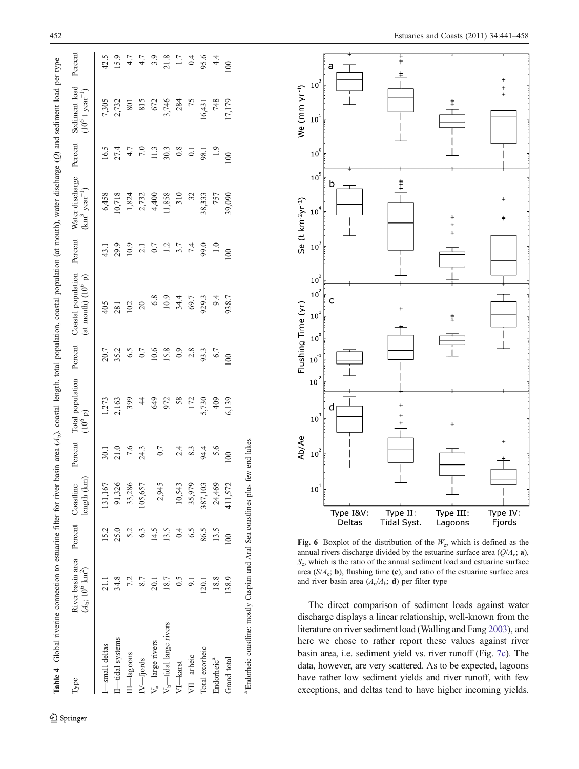<span id="page-11-0"></span>

| Type                               | River basin area Percent Coastline<br>$(A_{\rm b};\;10^6\;\mathrm{km}^2)$ |                 | (km)<br>length ( | Percent        | Total population<br>$(10^6 \text{ p})$ | Percent   | Coastal population<br>$(at \text{ mouth}) (10^6 \text{ p})$ | Percent        | Water discharge<br>$year^{-1}$<br>$(\text{km}^3)$ | Percent          | Sediment load<br>$(10^6 \text{ t year}^{-1})$ | Percent  |
|------------------------------------|---------------------------------------------------------------------------|-----------------|------------------|----------------|----------------------------------------|-----------|-------------------------------------------------------------|----------------|---------------------------------------------------|------------------|-----------------------------------------------|----------|
| I-small deltas                     |                                                                           | 15.2            | 131,167          | 30.1           | 1,273                                  | 20.7      | 405                                                         | $-43.1$        | 6,458                                             | 16.5             | 7,305                                         | 42.5     |
| II-tidal systems                   | 34.8                                                                      | 25.0            | 91,326           | 21.0           | 2,163                                  | 35.2      | 281                                                         | 29.9           | 0,718                                             | 27.4             | 2,732                                         | 15.9     |
| III-lagoons                        |                                                                           |                 | 33,286           | 7.6            | 399                                    | 6.5       | 102                                                         | 10.9           | 1,824                                             | 4.7              | <b>SO1</b>                                    | 4.7      |
| $IV$ – fjords                      |                                                                           | 63              | 105,657          | 24.3           | $\ddot{4}$                             | $0.7\,$   | $\Omega$                                                    | 2.1            | 2,732                                             | 7.0              | 815                                           | 4.7      |
| $V_a$ —large rivers                | $\approx$                                                                 | 14.5            | 2,945            | 0.7            | 649                                    | 10.6      | 6.8                                                         | 0.7            | 4,400                                             | 11.3             | 672                                           | 3.9      |
| V <sub>b</sub> —tidal large rivers | 18.7                                                                      | 13.5            |                  |                | 972                                    | 15.8      | 10.9                                                        | 1.2            | 11,858                                            | 30.3             | 3,746                                         | 21.8     |
| VI-karst                           | $\widetilde{\circ}$                                                       | 0.4             | 10,543           |                | 58                                     | 0.9       | 34.4                                                        | 3.7            | 310                                               | 0.8              | 284                                           | $1.7\,$  |
| VII-arheic                         |                                                                           | 6.5             | 35,979           | $2.4$<br>8.3   | 172                                    | 2.8       | 69.7                                                        | 7.4            | 32                                                | $\overline{0}$ . | 75                                            | 0.4      |
| Total exorheic                     | 120.1                                                                     | 86.5            | 387,103          | 94.4           | 5,730                                  | 93.3      | 929.3                                                       | 99.0           | 38,333                                            | 98.1             | 16,431                                        | 95.6     |
| Endorheic <sup>a</sup>             | 18.8                                                                      | 13.5            | 24,469           | 5.6            | 409                                    | $6.7$     | 9.4                                                         | 1.0            | 757                                               | 1.9              | 748                                           | 4.4      |
| Grand total                        | 138.9                                                                     | $\overline{00}$ | 411,572          | $\overline{0}$ | 6,139                                  | $\otimes$ | 938.7                                                       | $\overline{0}$ | 39,090                                            | $\infty$         | 17,179                                        | $\infty$ |



**Fig. 6** Boxplot of the distribution of the  $W_e$ , which is defined as the annual rivers discharge divided by the estuarine surface area  $(Q/A_e; \mathbf{a})$ , Se, which is the ratio of the annual sediment load and estuarine surface area  $(S/A<sub>e</sub>; b)$ , flushing time (c), and ratio of the estuarine surface area and river basin area  $(A_e/A_b; d)$  per filter type

The direct comparison of sediment loads against water discharge displays a linear relationship, well-known from the literature on river sediment load (Walling and Fang [2003](#page-17-0)), and here we chose to rather report these values against river basin area, i.e. sediment yield vs. river runoff (Fig. [7c](#page-12-0)). The data, however, are very scattered. As to be expected, lagoons have rather low sediment yields and river runoff, with few exceptions, and deltas tend to have higher incoming yields.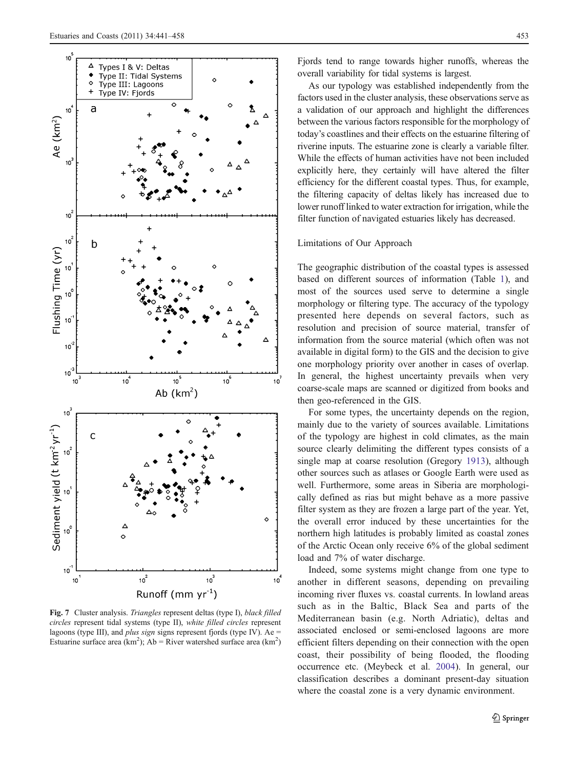<span id="page-12-0"></span> $10^4$ 

 $10$ 

 $10$ 

 $10^2$ 

 $10^2$ 

 $10$ 

 $10<sup>6</sup>$ 

 $10$ 

 $10^3$ 

 $10^7$  $10<sup>3</sup>$ 

 $10^{3}$ 

 $10^2$ 

 $10$ 

 $10<sup>c</sup>$ 

 $10$ 

 $10$ 

Sediment yield (t km<sup>-2</sup> yr<sup>-1</sup>)

Flushing Time (yr)

Ae (km<sup>2</sup>)



 $\ddot{\circ}$ 

 $10<sup>4</sup>$ 

Fig. 7 Cluster analysis. Triangles represent deltas (type I), black filled circles represent tidal systems (type II), white filled circles represent lagoons (type III), and *plus sign* signs represent fjords (type IV). Ae  $=$ Estuarine surface area ( $km^2$ ); Ab = River watershed surface area ( $km^2$ )

Runoff (mm  $yr^{-1}$ )

 $10^3$ 

 $10<sup>2</sup>$ 

Δ

 $\overline{c}$ 

Fiords tend to range towards higher runoffs, whereas the overall variability for tidal systems is largest.

As our typology was established independently from the factors used in the cluster analysis, these observations serve as a validation of our approach and highlight the differences between the various factors responsible for the morphology of today's coastlines and their effects on the estuarine filtering of riverine inputs. The estuarine zone is clearly a variable filter. While the effects of human activities have not been included explicitly here, they certainly will have altered the filter efficiency for the different coastal types. Thus, for example, the filtering capacity of deltas likely has increased due to lower runoff linked to water extraction for irrigation, while the filter function of navigated estuaries likely has decreased.

# Limitations of Our Approach

The geographic distribution of the coastal types is assessed based on different sources of information (Table [1\)](#page-6-0), and most of the sources used serve to determine a single morphology or filtering type. The accuracy of the typology presented here depends on several factors, such as resolution and precision of source material, transfer of information from the source material (which often was not available in digital form) to the GIS and the decision to give one morphology priority over another in cases of overlap. In general, the highest uncertainty prevails when very coarse-scale maps are scanned or digitized from books and then geo-referenced in the GIS.

For some types, the uncertainty depends on the region, mainly due to the variety of sources available. Limitations of the typology are highest in cold climates, as the main source clearly delimiting the different types consists of a single map at coarse resolution (Gregory [1913\)](#page-15-0), although other sources such as atlases or Google Earth were used as well. Furthermore, some areas in Siberia are morphologically defined as rias but might behave as a more passive filter system as they are frozen a large part of the year. Yet, the overall error induced by these uncertainties for the northern high latitudes is probably limited as coastal zones of the Arctic Ocean only receive 6% of the global sediment load and 7% of water discharge.

Indeed, some systems might change from one type to another in different seasons, depending on prevailing incoming river fluxes vs. coastal currents. In lowland areas such as in the Baltic, Black Sea and parts of the Mediterranean basin (e.g. North Adriatic), deltas and associated enclosed or semi-enclosed lagoons are more efficient filters depending on their connection with the open coast, their possibility of being flooded, the flooding occurrence etc. (Meybeck et al. [2004\)](#page-16-0). In general, our classification describes a dominant present-day situation where the coastal zone is a very dynamic environment.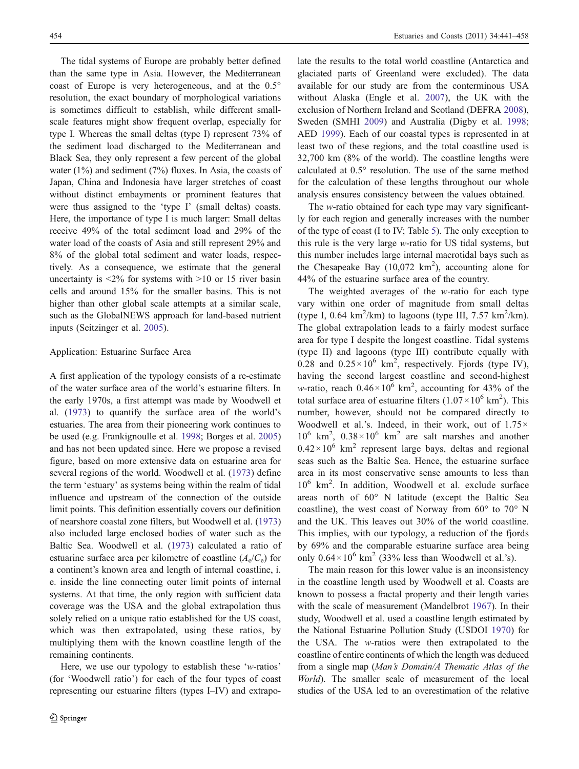The tidal systems of Europe are probably better defined than the same type in Asia. However, the Mediterranean coast of Europe is very heterogeneous, and at the 0.5° resolution, the exact boundary of morphological variations is sometimes difficult to establish, while different smallscale features might show frequent overlap, especially for type I. Whereas the small deltas (type I) represent 73% of the sediment load discharged to the Mediterranean and Black Sea, they only represent a few percent of the global water (1%) and sediment (7%) fluxes. In Asia, the coasts of Japan, China and Indonesia have larger stretches of coast without distinct embayments or prominent features that were thus assigned to the 'type I' (small deltas) coasts. Here, the importance of type I is much larger: Small deltas receive 49% of the total sediment load and 29% of the water load of the coasts of Asia and still represent 29% and 8% of the global total sediment and water loads, respectively. As a consequence, we estimate that the general uncertainty is  $\langle 2\%$  for systems with  $>10$  or 15 river basin cells and around 15% for the smaller basins. This is not higher than other global scale attempts at a similar scale, such as the GlobalNEWS approach for land-based nutrient inputs (Seitzinger et al. [2005](#page-16-0)).

#### Application: Estuarine Surface Area

A first application of the typology consists of a re-estimate of the water surface area of the world's estuarine filters. In the early 1970s, a first attempt was made by Woodwell et al. ([1973\)](#page-17-0) to quantify the surface area of the world's estuaries. The area from their pioneering work continues to be used (e.g. Frankignoulle et al. [1998](#page-15-0); Borges et al. [2005\)](#page-15-0) and has not been updated since. Here we propose a revised figure, based on more extensive data on estuarine area for several regions of the world. Woodwell et al. [\(1973](#page-17-0)) define the term 'estuary' as systems being within the realm of tidal influence and upstream of the connection of the outside limit points. This definition essentially covers our definition of nearshore coastal zone filters, but Woodwell et al. ([1973\)](#page-17-0) also included large enclosed bodies of water such as the Baltic Sea. Woodwell et al. ([1973\)](#page-17-0) calculated a ratio of estuarine surface area per kilometre of coastline  $(A_e/C_e)$  for a continent's known area and length of internal coastline, i. e. inside the line connecting outer limit points of internal systems. At that time, the only region with sufficient data coverage was the USA and the global extrapolation thus solely relied on a unique ratio established for the US coast, which was then extrapolated, using these ratios, by multiplying them with the known coastline length of the remaining continents.

Here, we use our typology to establish these 'w-ratios' (for 'Woodwell ratio') for each of the four types of coast representing our estuarine filters (types I–IV) and extrapo-

late the results to the total world coastline (Antarctica and glaciated parts of Greenland were excluded). The data available for our study are from the conterminous USA without Alaska (Engle et al. [2007\)](#page-15-0), the UK with the exclusion of Northern Ireland and Scotland (DEFRA [2008\)](#page-15-0), Sweden (SMHI [2009\)](#page-16-0) and Australia (Digby et al. [1998;](#page-15-0) AED [1999](#page-15-0)). Each of our coastal types is represented in at least two of these regions, and the total coastline used is 32,700 km (8% of the world). The coastline lengths were calculated at 0.5° resolution. The use of the same method for the calculation of these lengths throughout our whole analysis ensures consistency between the values obtained.

The w-ratio obtained for each type may vary significantly for each region and generally increases with the number of the type of coast (I to IV; Table [5\)](#page-14-0). The only exception to this rule is the very large  $w$ -ratio for US tidal systems, but this number includes large internal macrotidal bays such as the Chesapeake Bay  $(10,072 \text{ km}^2)$ , accounting alone for 44% of the estuarine surface area of the country.

The weighted averages of the  $w$ -ratio for each type vary within one order of magnitude from small deltas (type I, 0.64  $\text{km}^2/\text{km}$ ) to lagoons (type III, 7.57  $\text{km}^2/\text{km}$ ). The global extrapolation leads to a fairly modest surface area for type I despite the longest coastline. Tidal systems (type II) and lagoons (type III) contribute equally with 0.28 and  $0.25 \times 10^6$  km<sup>2</sup>, respectively. Fjords (type IV), having the second largest coastline and second-highest w-ratio, reach  $0.46 \times 10^6$  km<sup>2</sup>, accounting for 43% of the total surface area of estuarine filters  $(1.07 \times 10^6 \text{ km}^2)$ . This number, however, should not be compared directly to Woodwell et al.'s. Indeed, in their work, out of  $1.75 \times$  $10^6$  km<sup>2</sup>,  $0.38 \times 10^6$  km<sup>2</sup> are salt marshes and another  $0.42 \times 10^6$  km<sup>2</sup> represent large bays, deltas and regional seas such as the Baltic Sea. Hence, the estuarine surface area in its most conservative sense amounts to less than 10<sup>6</sup> km<sup>2</sup> . In addition, Woodwell et al. exclude surface areas north of 60° N latitude (except the Baltic Sea coastline), the west coast of Norway from 60° to 70° N and the UK. This leaves out 30% of the world coastline. This implies, with our typology, a reduction of the fjords by 69% and the comparable estuarine surface area being only  $0.64 \times 10^6$  km<sup>2</sup> (33% less than Woodwell et al.'s).

The main reason for this lower value is an inconsistency in the coastline length used by Woodwell et al. Coasts are known to possess a fractal property and their length varies with the scale of measurement (Mandelbrot [1967\)](#page-16-0). In their study, Woodwell et al. used a coastline length estimated by the National Estuarine Pollution Study (USDOI [1970\)](#page-17-0) for the USA. The w-ratios were then extrapolated to the coastline of entire continents of which the length was deduced from a single map (Man's Domain/A Thematic Atlas of the World). The smaller scale of measurement of the local studies of the USA led to an overestimation of the relative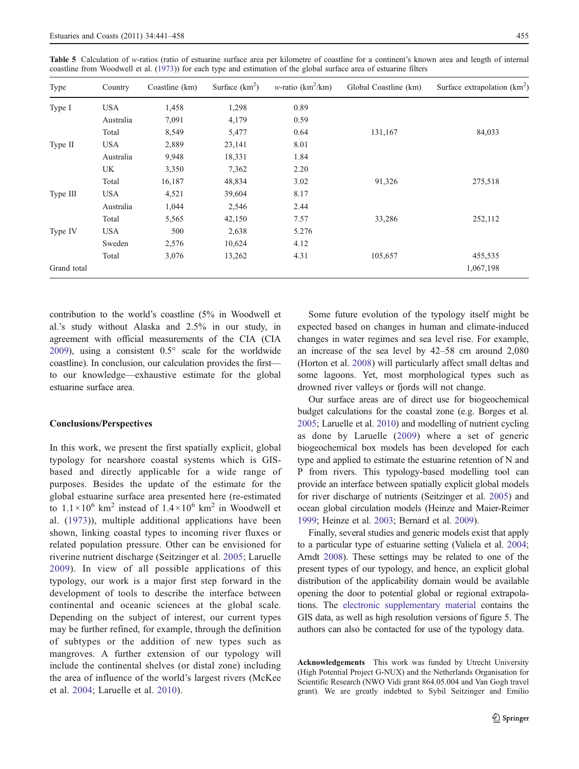<span id="page-14-0"></span>Table 5 Calculation of w-ratios (ratio of estuarine surface area per kilometre of coastline for a continent's known area and length of internal coastline from Woodwell et al. [\(1973](#page-17-0))) for each type and estimation of the global surface area of estuarine filters

| Type        | Country    | Coastline (km) | Surface $(km^2)$ | <i>w</i> -ratio ( $km^2/km$ ) | Global Coastline (km) | Surface extrapolation $(km^2)$ |
|-------------|------------|----------------|------------------|-------------------------------|-----------------------|--------------------------------|
| Type I      | <b>USA</b> | 1,458          | 1,298            | 0.89                          |                       |                                |
|             | Australia  | 7,091          | 4,179            | 0.59                          |                       |                                |
|             | Total      | 8,549          | 5,477            | 0.64                          | 131,167               | 84,033                         |
| Type II     | <b>USA</b> | 2,889          | 23,141           | 8.01                          |                       |                                |
|             | Australia  | 9,948          | 18,331           | 1.84                          |                       |                                |
|             | UK         | 3,350          | 7,362            | 2.20                          |                       |                                |
|             | Total      | 16,187         | 48,834           | 3.02                          | 91,326                | 275,518                        |
| Type III    | <b>USA</b> | 4,521          | 39,604           | 8.17                          |                       |                                |
|             | Australia  | 1,044          | 2,546            | 2.44                          |                       |                                |
|             | Total      | 5,565          | 42,150           | 7.57                          | 33,286                | 252,112                        |
| Type IV     | <b>USA</b> | 500            | 2,638            | 5.276                         |                       |                                |
|             | Sweden     | 2,576          | 10,624           | 4.12                          |                       |                                |
|             | Total      | 3,076          | 13,262           | 4.31                          | 105,657               | 455,535                        |
| Grand total |            |                |                  |                               |                       | 1,067,198                      |

contribution to the world's coastline (5% in Woodwell et al.'s study without Alaska and 2.5% in our study, in agreement with official measurements of the CIA (CIA [2009\)](#page-15-0), using a consistent 0.5° scale for the worldwide coastline). In conclusion, our calculation provides the first to our knowledge—exhaustive estimate for the global estuarine surface area.

# Conclusions/Perspectives

In this work, we present the first spatially explicit, global typology for nearshore coastal systems which is GISbased and directly applicable for a wide range of purposes. Besides the update of the estimate for the global estuarine surface area presented here (re-estimated to  $1.1 \times 10^6$  km<sup>2</sup> instead of  $1.4 \times 10^6$  km<sup>2</sup> in Woodwell et al. ([1973](#page-17-0))), multiple additional applications have been shown, linking coastal types to incoming river fluxes or related population pressure. Other can be envisioned for riverine nutrient discharge (Seitzinger et al. [2005](#page-16-0); Laruelle [2009](#page-16-0)). In view of all possible applications of this typology, our work is a major first step forward in the development of tools to describe the interface between continental and oceanic sciences at the global scale. Depending on the subject of interest, our current types may be further refined, for example, through the definition of subtypes or the addition of new types such as mangroves. A further extension of our typology will include the continental shelves (or distal zone) including the area of influence of the world's largest rivers (McKee et al. [2004](#page-16-0); Laruelle et al. [2010](#page-16-0)).

Some future evolution of the typology itself might be expected based on changes in human and climate-induced changes in water regimes and sea level rise. For example, an increase of the sea level by 42–58 cm around 2,080 (Horton et al. [2008\)](#page-16-0) will particularly affect small deltas and some lagoons. Yet, most morphological types such as drowned river valleys or fjords will not change.

Our surface areas are of direct use for biogeochemical budget calculations for the coastal zone (e.g. Borges et al. [2005;](#page-15-0) Laruelle et al. [2010](#page-16-0)) and modelling of nutrient cycling as done by Laruelle [\(2009\)](#page-16-0) where a set of generic biogeochemical box models has been developed for each type and applied to estimate the estuarine retention of N and P from rivers. This typology-based modelling tool can provide an interface between spatially explicit global models for river discharge of nutrients (Seitzinger et al. [2005](#page-16-0)) and ocean global circulation models (Heinze and Maier-Reimer [1999;](#page-16-0) Heinze et al. [2003;](#page-16-0) Bernard et al. [2009\)](#page-15-0).

Finally, several studies and generic models exist that apply to a particular type of estuarine setting (Valiela et al. [2004;](#page-17-0) Arndt [2008\)](#page-15-0). These settings may be related to one of the present types of our typology, and hence, an explicit global distribution of the applicability domain would be available opening the door to potential global or regional extrapolations. The electronic supplementary material contains the GIS data, as well as high resolution versions of figure 5. The authors can also be contacted for use of the typology data.

Acknowledgements This work was funded by Utrecht University (High Potential Project G-NUX) and the Netherlands Organisation for Scientific Research (NWO Vidi grant 864.05.004 and Van Gogh travel grant). We are greatly indebted to Sybil Seitzinger and Emilio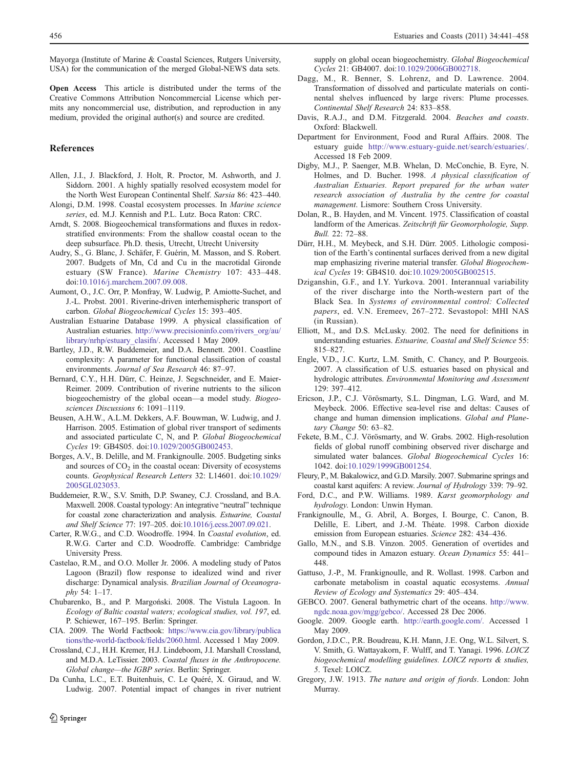<span id="page-15-0"></span>Mayorga (Institute of Marine & Coastal Sciences, Rutgers University, USA) for the communication of the merged Global-NEWS data sets.

Open Access This article is distributed under the terms of the Creative Commons Attribution Noncommercial License which permits any noncommercial use, distribution, and reproduction in any medium, provided the original author(s) and source are credited.

# **References**

- Allen, J.I., J. Blackford, J. Holt, R. Proctor, M. Ashworth, and J. Siddorn. 2001. A highly spatially resolved ecosystem model for the North West European Continental Shelf. Sarsia 86: 423–440.
- Alongi, D.M. 1998. Coastal ecosystem processes. In Marine science series, ed. M.J. Kennish and P.L. Lutz. Boca Raton: CRC.
- Arndt, S. 2008. Biogeochemical transformations and fluxes in redoxstratified environments: From the shallow coastal ocean to the deep subsurface. Ph.D. thesis, Utrecht, Utrecht University
- Audry, S., G. Blanc, J. Schäfer, F. Guérin, M. Masson, and S. Robert. 2007. Budgets of Mn, Cd and Cu in the macrotidal Gironde estuary (SW France). Marine Chemistry 107: 433–448. doi[:10.1016/j.marchem.2007.09.008.](http://dx.doi.org/10.1016/j.marchem.2007.09.008)
- Aumont, O., J.C. Orr, P. Monfray, W. Ludwig, P. Amiotte-Suchet, and J.-L. Probst. 2001. Riverine-driven interhemispheric transport of carbon. Global Biogeochemical Cycles 15: 393–405.
- Australian Estuarine Database 1999. A physical classification of Australian estuaries. [http://www.precisioninfo.com/rivers\\_org/au/](http://www.precisioninfo.com/rivers_org/au/library/nrhp/estuary_clasifn/) [library/nrhp/estuary\\_clasifn/](http://www.precisioninfo.com/rivers_org/au/library/nrhp/estuary_clasifn/). Accessed 1 May 2009.
- Bartley, J.D., R.W. Buddemeier, and D.A. Bennett. 2001. Coastline complexity: A parameter for functional classification of coastal environments. Journal of Sea Research 46: 87–97.
- Bernard, C.Y., H.H. Dürr, C. Heinze, J. Segschneider, and E. Maier-Reimer. 2009. Contribution of riverine nutrients to the silicon biogeochemistry of the global ocean—a model study. Biogeosciences Discussions 6: 1091–1119.
- Beusen, A.H.W., A.L.M. Dekkers, A.F. Bouwman, W. Ludwig, and J. Harrison. 2005. Estimation of global river transport of sediments and associated particulate C, N, and P. Global Biogeochemical Cycles 19: GB4S05. doi:[10.1029/2005GB002453.](http://dx.doi.org/10.1029/2005GB002453)
- Borges, A.V., B. Delille, and M. Frankignoulle. 2005. Budgeting sinks and sources of  $CO<sub>2</sub>$  in the coastal ocean: Diversity of ecosystems counts. Geophysical Research Letters 32: L14601. doi[:10.1029/](http://dx.doi.org/10.1029/2005GL023053) [2005GL023053](http://dx.doi.org/10.1029/2005GL023053).
- Buddemeier, R.W., S.V. Smith, D.P. Swaney, C.J. Crossland, and B.A. Maxwell. 2008. Coastal typology: An integrative "neutral" technique for coastal zone characterization and analysis. Estuarine, Coastal and Shelf Science 77: 197–205. doi[:10.1016/j.ecss.2007.09.021.](http://dx.doi.org/10.1016/j.ecss.2007.09.021)
- Carter, R.W.G., and C.D. Woodroffe. 1994. In Coastal evolution, ed. R.W.G. Carter and C.D. Woodroffe. Cambridge: Cambridge University Press.
- Castelao, R.M., and O.O. Moller Jr. 2006. A modeling study of Patos Lagoon (Brazil) flow response to idealized wind and river discharge: Dynamical analysis. Brazilian Journal of Oceanography 54: 1–17.
- Chubarenko, B., and P. Margoński. 2008. The Vistula Lagoon. In Ecology of Baltic coastal waters; ecological studies, vol. 197, ed. P. Schiewer, 167–195. Berlin: Springer.
- CIA. 2009. The World Factbook: [https://www.cia.gov/library/publica](https://www.cia.gov/library/publications/the-world-factbook/fields/2060.html) [tions/the-world-factbook/fields/2060.html](https://www.cia.gov/library/publications/the-world-factbook/fields/2060.html). Accessed 1 May 2009.
- Crossland, C.J., H.H. Kremer, H.J. Lindeboom, J.I. Marshall Crossland, and M.D.A. LeTissier. 2003. Coastal fluxes in the Anthropocene. Global change—the IGBP series. Berlin: Springer.
- Da Cunha, L.C., E.T. Buitenhuis, C. Le Quéré, X. Giraud, and W. Ludwig. 2007. Potential impact of changes in river nutrient

supply on global ocean biogeochemistry. Global Biogeochemical Cycles 21: GB4007. doi[:10.1029/2006GB002718](http://dx.doi.org/10.1029/2006GB002718).

- Dagg, M., R. Benner, S. Lohrenz, and D. Lawrence. 2004. Transformation of dissolved and particulate materials on continental shelves influenced by large rivers: Plume processes. Continental Shelf Research 24: 833–858.
- Davis, R.A.J., and D.M. Fitzgerald. 2004. Beaches and coasts. Oxford: Blackwell.
- Department for Environment, Food and Rural Affairs. 2008. The estuary guide <http://www.estuary-guide.net/search/estuaries/.> Accessed 18 Feb 2009.
- Digby, M.J., P. Saenger, M.B. Whelan, D. McConchie, B. Eyre, N. Holmes, and D. Bucher. 1998. A physical classification of Australian Estuaries. Report prepared for the urban water research association of Australia by the centre for coastal management. Lismore: Southern Cross University.
- Dolan, R., B. Hayden, and M. Vincent. 1975. Classification of coastal landform of the Americas. Zeitschrift für Geomorphologie, Supp. Bull. 22: 72–88.
- Dürr, H.H., M. Meybeck, and S.H. Dürr. 2005. Lithologic composition of the Earth's continental surfaces derived from a new digital map emphasizing riverine material transfer. Global Biogeochemical Cycles 19: GB4S10. doi[:10.1029/2005GB002515](http://dx.doi.org/10.1029/2005GB002515).
- Dziganshin, G.F., and I.Y. Yurkova. 2001. Interannual variability of the river discharge into the North-western part of the Black Sea. In Systems of environmental control: Collected papers, ed. V.N. Eremeev, 267–272. Sevastopol: MHI NAS (in Russian).
- Elliott, M., and D.S. McLusky. 2002. The need for definitions in understanding estuaries. Estuarine, Coastal and Shelf Science 55: 815–827.
- Engle, V.D., J.C. Kurtz, L.M. Smith, C. Chancy, and P. Bourgeois. 2007. A classification of U.S. estuaries based on physical and hydrologic attributes. Environmental Monitoring and Assessment 129: 397–412.
- Ericson, J.P., C.J. Vörösmarty, S.L. Dingman, L.G. Ward, and M. Meybeck. 2006. Effective sea-level rise and deltas: Causes of change and human dimension implications. Global and Planetary Change 50: 63–82.
- Fekete, B.M., C.J. Vörösmarty, and W. Grabs. 2002. High-resolution fields of global runoff combining observed river discharge and simulated water balances. Global Biogeochemical Cycles 16: 1042. doi:[10.1029/1999GB001254.](http://dx.doi.org/10.1029/1999GB001254)
- Fleury, P., M. Bakalowicz, and G.D. Marsily. 2007. Submarine springs and coastal karst aquifers: A review. Journal of Hydrology 339: 79–92.
- Ford, D.C., and P.W. Williams. 1989. Karst geomorphology and hydrology. London: Unwin Hyman.
- Frankignoulle, M., G. Abril, A. Borges, I. Bourge, C. Canon, B. Delille, E. Libert, and J.-M. Théate. 1998. Carbon dioxide emission from European estuaries. Science 282: 434–436.
- Gallo, M.N., and S.B. Vinzon. 2005. Generation of overtides and compound tides in Amazon estuary. Ocean Dynamics 55: 441– 448.
- Gattuso, J.-P., M. Frankignoulle, and R. Wollast. 1998. Carbon and carbonate metabolism in coastal aquatic ecosystems. Annual Review of Ecology and Systematics 29: 405–434.
- GEBCO. 2007. General bathymetric chart of the oceans. [http://www.](http://www.ngdc.noaa.gov/mgg/gebco/) [ngdc.noaa.gov/mgg/gebco/](http://www.ngdc.noaa.gov/mgg/gebco/). Accessed 28 Dec 2006.
- Google. 2009. Google earth. <http://earth.google.com/.> Accessed 1 May 2009.
- Gordon, J.D.C., P.R. Boudreau, K.H. Mann, J.E. Ong, W.L. Silvert, S. V. Smith, G. Wattayakorn, F. Wulff, and T. Yanagi. 1996. LOICZ biogeochemical modelling guidelines. LOICZ reports & studies, 5. Texel: LOICZ.
- Gregory, J.W. 1913. The nature and origin of fiords. London: John Murray.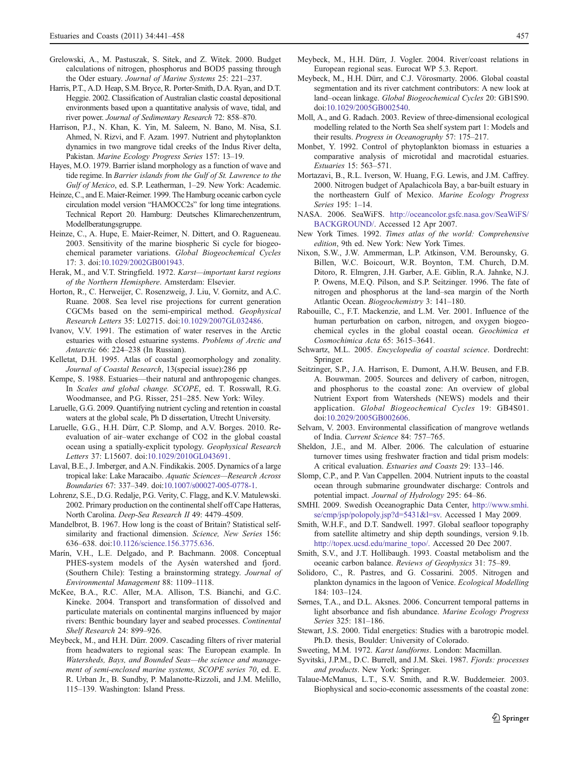- <span id="page-16-0"></span>Grelowski, A., M. Pastuszak, S. Sitek, and Z. Witek. 2000. Budget calculations of nitrogen, phosphorus and BOD5 passing through the Oder estuary. Journal of Marine Systems 25: 221–237.
- Harris, P.T., A.D. Heap, S.M. Bryce, R. Porter-Smith, D.A. Ryan, and D.T. Heggie. 2002. Classification of Australian clastic coastal depositional environments based upon a quantitative analysis of wave, tidal, and river power. Journal of Sedimentary Research 72: 858–870.
- Harrison, P.J., N. Khan, K. Yin, M. Saleem, N. Bano, M. Nisa, S.I. Ahmed, N. Rizvi, and F. Azam. 1997. Nutrient and phytoplankton dynamics in two mangrove tidal creeks of the Indus River delta, Pakistan. Marine Ecology Progress Series 157: 13–19.
- Hayes, M.O. 1979. Barrier island morphology as a function of wave and tide regime. In Barrier islands from the Gulf of St. Lawrence to the Gulf of Mexico, ed. S.P. Leatherman, 1–29. New York: Academic.
- Heinze, C., and E. Maier-Reimer. 1999. The Hamburg oceanic carbon cycle circulation model version "HAMOCC2s" for long time integrations. Technical Report 20. Hamburg: Deutsches Klimarechenzentrum, Modellberatungsgruppe.
- Heinze, C., A. Hupe, E. Maier-Reimer, N. Dittert, and O. Ragueneau. 2003. Sensitivity of the marine biospheric Si cycle for biogeochemical parameter variations. Global Biogeochemical Cycles 17: 3. doi:[10.1029/2002GB001943.](http://dx.doi.org/10.1029/2002GB001943)
- Herak, M., and V.T. Stringfield. 1972. Karst-important karst regions of the Northern Hemisphere. Amsterdam: Elsevier.
- Horton, R., C. Herweijer, C. Rosenzweig, J. Liu, V. Gornitz, and A.C. Ruane. 2008. Sea level rise projections for current generation CGCMs based on the semi-empirical method. Geophysical Research Letters 35: L02715. doi:[10.1029/2007GL032486.](http://dx.doi.org/10.1029/2007GL032486)
- Ivanov, V.V. 1991. The estimation of water reserves in the Arctic estuaries with closed estuarine systems. Problems of Arctic and Antarctic 66: 224–238 (In Russian).
- Kelletat, D.H. 1995. Atlas of coastal geomorphology and zonality. Journal of Coastal Research, 13(special issue):286 pp
- Kempe, S. 1988. Estuaries—their natural and anthropogenic changes. In Scales and global change. SCOPE, ed. T. Rosswall, R.G. Woodmansee, and P.G. Risser, 251–285. New York: Wiley.
- Laruelle, G.G. 2009. Quantifying nutrient cycling and retention in coastal waters at the global scale, Ph D dissertation, Utrecht University.
- Laruelle, G.G., H.H. Dürr, C.P. Slomp, and A.V. Borges. 2010. Reevaluation of air–water exchange of CO2 in the global coastal ocean using a spatially-explicit typology. Geophysical Research Letters 37: L15607. doi:[10.1029/2010GL043691](http://dx.doi.org/10.1029/2010GL043691).
- Laval, B.E., J. Imberger, and A.N. Findikakis. 2005. Dynamics of a large tropical lake: Lake Maracaibo. Aquatic Sciences—Research Across Boundaries 67: 337–349. doi[:10.1007/s00027-005-0778-1.](http://dx.doi.org/10.1007/s00027-005-0778-1)
- Lohrenz, S.E., D.G. Redalje, P.G. Verity, C. Flagg, and K.V. Matulewski. 2002. Primary production on the continental shelf off Cape Hatteras, North Carolina. Deep-Sea Research II 49: 4479–4509.
- Mandelbrot, B. 1967. How long is the coast of Britain? Statistical selfsimilarity and fractional dimension. Science, New Series 156: 636–638. doi:[10.1126/science.156.3775.636](http://dx.doi.org/10.1126/science.156.3775.636).
- Marín, V.H., L.E. Delgado, and P. Bachmann. 2008. Conceptual PHES-system models of the Aysén watershed and fjord. (Southern Chile): Testing a brainstorming strategy. Journal of Environmental Management 88: 1109–1118.
- McKee, B.A., R.C. Aller, M.A. Allison, T.S. Bianchi, and G.C. Kineke. 2004. Transport and transformation of dissolved and particulate materials on continental margins influenced by major rivers: Benthic boundary layer and seabed processes. Continental Shelf Research 24: 899–926.
- Meybeck, M., and H.H. Dürr. 2009. Cascading filters of river material from headwaters to regional seas: The European example. In Watersheds, Bays, and Bounded Seas—the science and management of semi-enclosed marine systems, SCOPE series 70, ed. E. R. Urban Jr., B. Sundby, P. Malanotte-Rizzoli, and J.M. Melillo, 115–139. Washington: Island Press.
- Meybeck, M., H.H. Dürr, J. Vogler. 2004. River/coast relations in European regional seas. Eurocat WP 5.3. Report.
- Meybeck, M., H.H. Dürr, and C.J. Vörosmarty. 2006. Global coastal segmentation and its river catchment contributors: A new look at land–ocean linkage. Global Biogeochemical Cycles 20: GB1S90. doi[:10.1029/2005GB002540](http://dx.doi.org/10.1029/2005GB002540).
- Moll, A., and G. Radach. 2003. Review of three-dimensional ecological modelling related to the North Sea shelf system part 1: Models and their results. Progress in Oceanography 57: 175-217.
- Monbet, Y. 1992. Control of phytoplankton biomass in estuaries a comparative analysis of microtidal and macrotidal estuaries. Estuaries 15: 563–571.
- Mortazavi, B., R.L. Iverson, W. Huang, F.G. Lewis, and J.M. Caffrey. 2000. Nitrogen budget of Apalachicola Bay, a bar-built estuary in the northeastern Gulf of Mexico. Marine Ecology Progress Series 195: 1–14.
- NASA. 2006. SeaWiFS. [http://oceancolor.gsfc.nasa.gov/SeaWiFS/](http://oceancolor.gsfc.nasa.gov/SeaWiFS/BACKGROUND/) [BACKGROUND/.](http://oceancolor.gsfc.nasa.gov/SeaWiFS/BACKGROUND/) Accessed 12 Apr 2007.
- New York Times. 1992. Times atlas of the world: Comprehensive edition, 9th ed. New York: New York Times.
- Nixon, S.W., J.W. Ammerman, L.P. Atkinson, V.M. Berounsky, G. Billen, W.C. Boicourt, W.R. Boynton, T.M. Church, D.M. Ditoro, R. Elmgren, J.H. Garber, A.E. Giblin, R.A. Jahnke, N.J. P. Owens, M.E.Q. Pilson, and S.P. Seitzinger. 1996. The fate of nitrogen and phosphorus at the land–sea margin of the North Atlantic Ocean. Biogeochemistry 3: 141–180.
- Rabouille, C., F.T. Mackenzie, and L.M. Ver. 2001. Influence of the human perturbation on carbon, nitrogen, and oxygen biogeochemical cycles in the global coastal ocean. Geochimica et Cosmochimica Acta 65: 3615–3641.
- Schwartz, M.L. 2005. Encyclopedia of coastal science. Dordrecht: Springer.
- Seitzinger, S.P., J.A. Harrison, E. Dumont, A.H.W. Beusen, and F.B. A. Bouwman. 2005. Sources and delivery of carbon, nitrogen, and phosphorus to the coastal zone: An overview of global Nutrient Export from Watersheds (NEWS) models and their application. Global Biogeochemical Cycles 19: GB4S01. doi[:10.2029/2005GB002606](http://dx.doi.org/10.2029/2005GB002606).
- Selvam, V. 2003. Environmental classification of mangrove wetlands of India. Current Science 84: 757–765.
- Sheldon, J.E., and M. Alber. 2006. The calculation of estuarine turnover times using freshwater fraction and tidal prism models: A critical evaluation. Estuaries and Coasts 29: 133–146.
- Slomp, C.P., and P. Van Cappellen. 2004. Nutrient inputs to the coastal ocean through submarine groundwater discharge: Controls and potential impact. Journal of Hydrology 295: 64–86.
- SMHI. 2009. Swedish Oceanographic Data Center, [http://www.smhi.](http://www.smhi.se/cmp/jsp/polopoly.jsp?d=5431&l=sv) [se/cmp/jsp/polopoly.jsp?d=5431&l=sv.](http://www.smhi.se/cmp/jsp/polopoly.jsp?d=5431&l=sv) Accessed 1 May 2009.
- Smith, W.H.F., and D.T. Sandwell. 1997. Global seafloor topography from satellite altimetry and ship depth soundings, version 9.1b. [http://topex.ucsd.edu/marine\\_topo/.](http://topex.ucsd.edu/marine_topo/.) Accessed 20 Dec 2007.
- Smith, S.V., and J.T. Hollibaugh. 1993. Coastal metabolism and the oceanic carbon balance. Reviews of Geophysics 31: 75–89.
- Solidoro, C., R. Pastres, and G. Cossarini. 2005. Nitrogen and plankton dynamics in the lagoon of Venice. Ecological Modelling 184: 103–124.
- Sørnes, T.A., and D.L. Aksnes. 2006. Concurrent temporal patterns in light absorbance and fish abundance. Marine Ecology Progress Series 325: 181–186.
- Stewart, J.S. 2000. Tidal energetics: Studies with a barotropic model. Ph.D. thesis, Boulder: University of Colorado.
- Sweeting, M.M. 1972. Karst landforms. London: Macmillan.
- Syvitski, J.P.M., D.C. Burrell, and J.M. Skei. 1987. Fjords: processes and products. New York: Springer.
- Talaue-McManus, L.T., S.V. Smith, and R.W. Buddemeier. 2003. Biophysical and socio-economic assessments of the coastal zone: